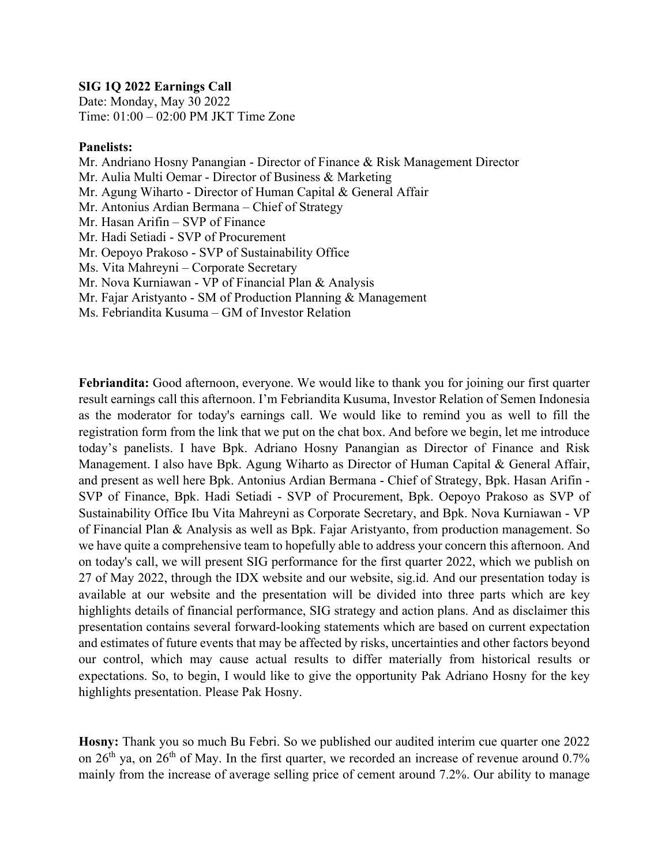## **SIG 1Q 2022 Earnings Call**

Date: Monday, May 30 2022 Time: 01:00 – 02:00 PM JKT Time Zone

## **Panelists:**

Mr. Andriano Hosny Panangian - Director of Finance & Risk Management Director Mr. Aulia Multi Oemar - Director of Business & Marketing Mr. Agung Wiharto - Director of Human Capital & General Affair Mr. Antonius Ardian Bermana – Chief of Strategy Mr. Hasan Arifin – SVP of Finance Mr. Hadi Setiadi - SVP of Procurement Mr. Oepoyo Prakoso - SVP of Sustainability Office Ms. Vita Mahreyni – Corporate Secretary Mr. Nova Kurniawan - VP of Financial Plan & Analysis Mr. Fajar Aristyanto - SM of Production Planning & Management Ms. Febriandita Kusuma – GM of Investor Relation

**Febriandita:** Good afternoon, everyone. We would like to thank you for joining our first quarter result earnings call this afternoon. I'm Febriandita Kusuma, Investor Relation of Semen Indonesia as the moderator for today's earnings call. We would like to remind you as well to fill the registration form from the link that we put on the chat box. And before we begin, let me introduce today's panelists. I have Bpk. Adriano Hosny Panangian as Director of Finance and Risk Management. I also have Bpk. Agung Wiharto as Director of Human Capital & General Affair, and present as well here Bpk. Antonius Ardian Bermana - Chief of Strategy, Bpk. Hasan Arifin - SVP of Finance, Bpk. Hadi Setiadi - SVP of Procurement, Bpk. Oepoyo Prakoso as SVP of Sustainability Office Ibu Vita Mahreyni as Corporate Secretary, and Bpk. Nova Kurniawan - VP of Financial Plan & Analysis as well as Bpk. Fajar Aristyanto, from production management. So we have quite a comprehensive team to hopefully able to address your concern this afternoon. And on today's call, we will present SIG performance for the first quarter 2022, which we publish on 27 of May 2022, through the IDX website and our website, sig.id. And our presentation today is available at our website and the presentation will be divided into three parts which are key highlights details of financial performance, SIG strategy and action plans. And as disclaimer this presentation contains several forward-looking statements which are based on current expectation and estimates of future events that may be affected by risks, uncertainties and other factors beyond our control, which may cause actual results to differ materially from historical results or expectations. So, to begin, I would like to give the opportunity Pak Adriano Hosny for the key highlights presentation. Please Pak Hosny.

**Hosny:** Thank you so much Bu Febri. So we published our audited interim cue quarter one 2022 on  $26<sup>th</sup>$  ya, on  $26<sup>th</sup>$  of May. In the first quarter, we recorded an increase of revenue around 0.7% mainly from the increase of average selling price of cement around 7.2%. Our ability to manage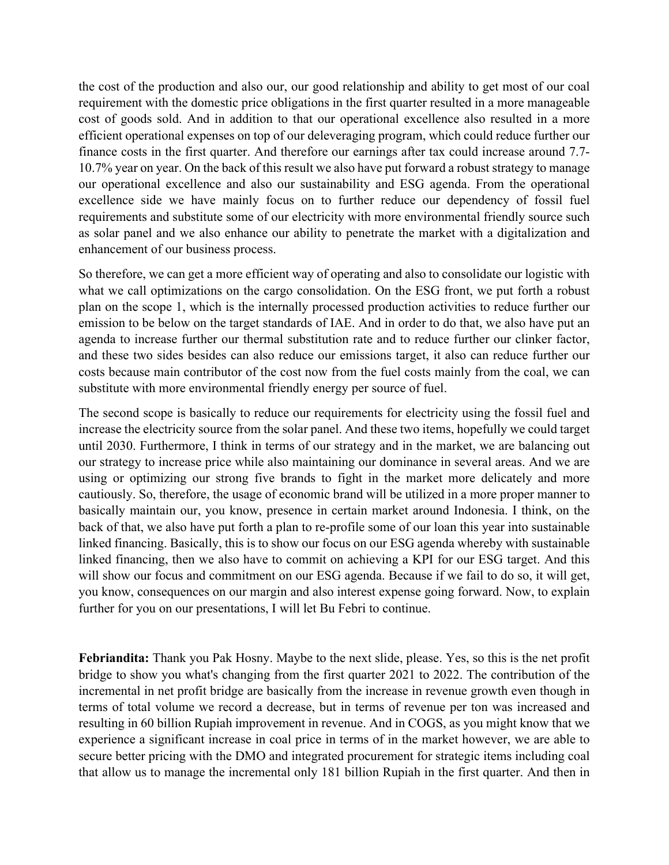the cost of the production and also our, our good relationship and ability to get most of our coal requirement with the domestic price obligations in the first quarter resulted in a more manageable cost of goods sold. And in addition to that our operational excellence also resulted in a more efficient operational expenses on top of our deleveraging program, which could reduce further our finance costs in the first quarter. And therefore our earnings after tax could increase around 7.7- 10.7% year on year. On the back of this result we also have put forward a robust strategy to manage our operational excellence and also our sustainability and ESG agenda. From the operational excellence side we have mainly focus on to further reduce our dependency of fossil fuel requirements and substitute some of our electricity with more environmental friendly source such as solar panel and we also enhance our ability to penetrate the market with a digitalization and enhancement of our business process.

So therefore, we can get a more efficient way of operating and also to consolidate our logistic with what we call optimizations on the cargo consolidation. On the ESG front, we put forth a robust plan on the scope 1, which is the internally processed production activities to reduce further our emission to be below on the target standards of IAE. And in order to do that, we also have put an agenda to increase further our thermal substitution rate and to reduce further our clinker factor, and these two sides besides can also reduce our emissions target, it also can reduce further our costs because main contributor of the cost now from the fuel costs mainly from the coal, we can substitute with more environmental friendly energy per source of fuel.

The second scope is basically to reduce our requirements for electricity using the fossil fuel and increase the electricity source from the solar panel. And these two items, hopefully we could target until 2030. Furthermore, I think in terms of our strategy and in the market, we are balancing out our strategy to increase price while also maintaining our dominance in several areas. And we are using or optimizing our strong five brands to fight in the market more delicately and more cautiously. So, therefore, the usage of economic brand will be utilized in a more proper manner to basically maintain our, you know, presence in certain market around Indonesia. I think, on the back of that, we also have put forth a plan to re-profile some of our loan this year into sustainable linked financing. Basically, this is to show our focus on our ESG agenda whereby with sustainable linked financing, then we also have to commit on achieving a KPI for our ESG target. And this will show our focus and commitment on our ESG agenda. Because if we fail to do so, it will get, you know, consequences on our margin and also interest expense going forward. Now, to explain further for you on our presentations, I will let Bu Febri to continue.

**Febriandita:** Thank you Pak Hosny. Maybe to the next slide, please. Yes, so this is the net profit bridge to show you what's changing from the first quarter 2021 to 2022. The contribution of the incremental in net profit bridge are basically from the increase in revenue growth even though in terms of total volume we record a decrease, but in terms of revenue per ton was increased and resulting in 60 billion Rupiah improvement in revenue. And in COGS, as you might know that we experience a significant increase in coal price in terms of in the market however, we are able to secure better pricing with the DMO and integrated procurement for strategic items including coal that allow us to manage the incremental only 181 billion Rupiah in the first quarter. And then in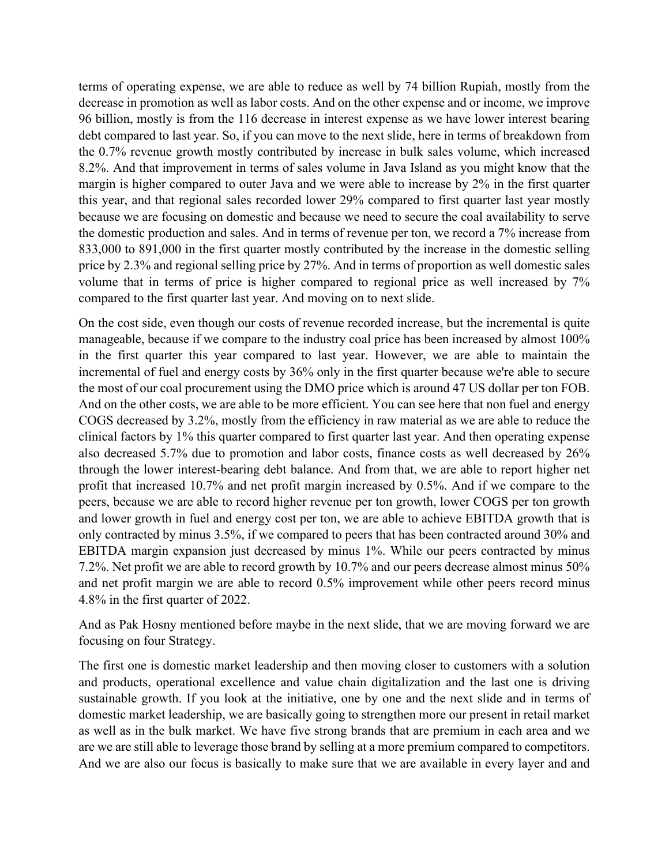terms of operating expense, we are able to reduce as well by 74 billion Rupiah, mostly from the decrease in promotion as well as labor costs. And on the other expense and or income, we improve 96 billion, mostly is from the 116 decrease in interest expense as we have lower interest bearing debt compared to last year. So, if you can move to the next slide, here in terms of breakdown from the 0.7% revenue growth mostly contributed by increase in bulk sales volume, which increased 8.2%. And that improvement in terms of sales volume in Java Island as you might know that the margin is higher compared to outer Java and we were able to increase by 2% in the first quarter this year, and that regional sales recorded lower 29% compared to first quarter last year mostly because we are focusing on domestic and because we need to secure the coal availability to serve the domestic production and sales. And in terms of revenue per ton, we record a 7% increase from 833,000 to 891,000 in the first quarter mostly contributed by the increase in the domestic selling price by 2.3% and regional selling price by 27%. And in terms of proportion as well domestic sales volume that in terms of price is higher compared to regional price as well increased by 7% compared to the first quarter last year. And moving on to next slide.

On the cost side, even though our costs of revenue recorded increase, but the incremental is quite manageable, because if we compare to the industry coal price has been increased by almost 100% in the first quarter this year compared to last year. However, we are able to maintain the incremental of fuel and energy costs by 36% only in the first quarter because we're able to secure the most of our coal procurement using the DMO price which is around 47 US dollar per ton FOB. And on the other costs, we are able to be more efficient. You can see here that non fuel and energy COGS decreased by 3.2%, mostly from the efficiency in raw material as we are able to reduce the clinical factors by 1% this quarter compared to first quarter last year. And then operating expense also decreased 5.7% due to promotion and labor costs, finance costs as well decreased by 26% through the lower interest-bearing debt balance. And from that, we are able to report higher net profit that increased 10.7% and net profit margin increased by 0.5%. And if we compare to the peers, because we are able to record higher revenue per ton growth, lower COGS per ton growth and lower growth in fuel and energy cost per ton, we are able to achieve EBITDA growth that is only contracted by minus 3.5%, if we compared to peers that has been contracted around 30% and EBITDA margin expansion just decreased by minus 1%. While our peers contracted by minus 7.2%. Net profit we are able to record growth by 10.7% and our peers decrease almost minus 50% and net profit margin we are able to record 0.5% improvement while other peers record minus 4.8% in the first quarter of 2022.

And as Pak Hosny mentioned before maybe in the next slide, that we are moving forward we are focusing on four Strategy.

The first one is domestic market leadership and then moving closer to customers with a solution and products, operational excellence and value chain digitalization and the last one is driving sustainable growth. If you look at the initiative, one by one and the next slide and in terms of domestic market leadership, we are basically going to strengthen more our present in retail market as well as in the bulk market. We have five strong brands that are premium in each area and we are we are still able to leverage those brand by selling at a more premium compared to competitors. And we are also our focus is basically to make sure that we are available in every layer and and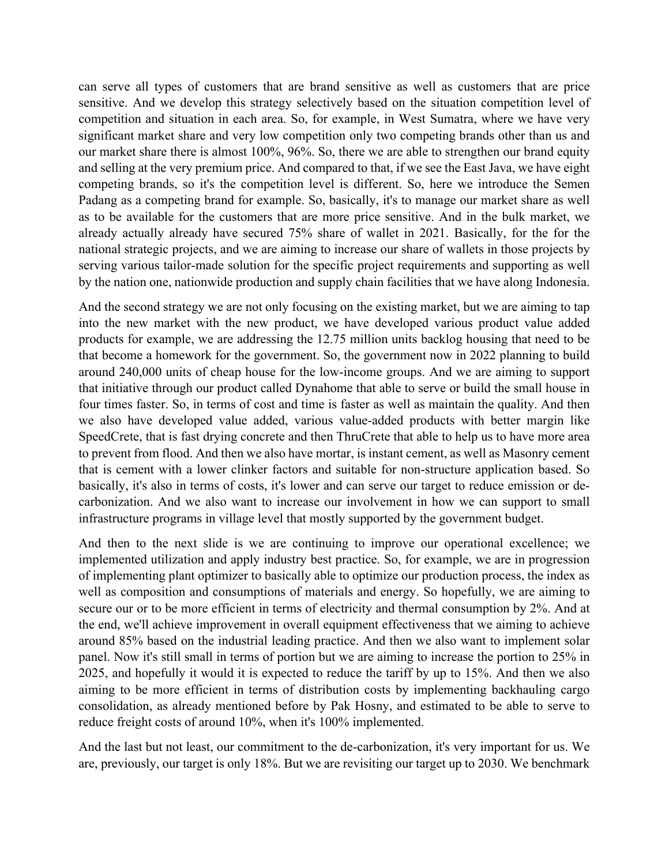can serve all types of customers that are brand sensitive as well as customers that are price sensitive. And we develop this strategy selectively based on the situation competition level of competition and situation in each area. So, for example, in West Sumatra, where we have very significant market share and very low competition only two competing brands other than us and our market share there is almost 100%, 96%. So, there we are able to strengthen our brand equity and selling at the very premium price. And compared to that, if we see the East Java, we have eight competing brands, so it's the competition level is different. So, here we introduce the Semen Padang as a competing brand for example. So, basically, it's to manage our market share as well as to be available for the customers that are more price sensitive. And in the bulk market, we already actually already have secured 75% share of wallet in 2021. Basically, for the for the national strategic projects, and we are aiming to increase our share of wallets in those projects by serving various tailor-made solution for the specific project requirements and supporting as well by the nation one, nationwide production and supply chain facilities that we have along Indonesia.

And the second strategy we are not only focusing on the existing market, but we are aiming to tap into the new market with the new product, we have developed various product value added products for example, we are addressing the 12.75 million units backlog housing that need to be that become a homework for the government. So, the government now in 2022 planning to build around 240,000 units of cheap house for the low-income groups. And we are aiming to support that initiative through our product called Dynahome that able to serve or build the small house in four times faster. So, in terms of cost and time is faster as well as maintain the quality. And then we also have developed value added, various value-added products with better margin like SpeedCrete, that is fast drying concrete and then ThruCrete that able to help us to have more area to prevent from flood. And then we also have mortar, is instant cement, as well as Masonry cement that is cement with a lower clinker factors and suitable for non-structure application based. So basically, it's also in terms of costs, it's lower and can serve our target to reduce emission or decarbonization. And we also want to increase our involvement in how we can support to small infrastructure programs in village level that mostly supported by the government budget.

And then to the next slide is we are continuing to improve our operational excellence; we implemented utilization and apply industry best practice. So, for example, we are in progression of implementing plant optimizer to basically able to optimize our production process, the index as well as composition and consumptions of materials and energy. So hopefully, we are aiming to secure our or to be more efficient in terms of electricity and thermal consumption by 2%. And at the end, we'll achieve improvement in overall equipment effectiveness that we aiming to achieve around 85% based on the industrial leading practice. And then we also want to implement solar panel. Now it's still small in terms of portion but we are aiming to increase the portion to 25% in 2025, and hopefully it would it is expected to reduce the tariff by up to 15%. And then we also aiming to be more efficient in terms of distribution costs by implementing backhauling cargo consolidation, as already mentioned before by Pak Hosny, and estimated to be able to serve to reduce freight costs of around 10%, when it's 100% implemented.

And the last but not least, our commitment to the de-carbonization, it's very important for us. We are, previously, our target is only 18%. But we are revisiting our target up to 2030. We benchmark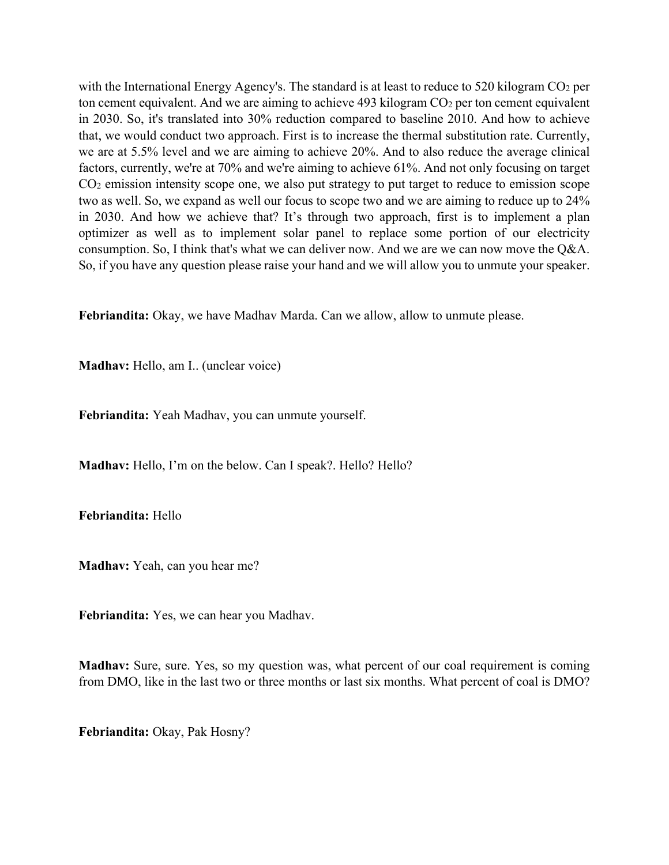with the International Energy Agency's. The standard is at least to reduce to 520 kilogram CO<sub>2</sub> per ton cement equivalent. And we are aiming to achieve  $493$  kilogram  $CO<sub>2</sub>$  per ton cement equivalent in 2030. So, it's translated into 30% reduction compared to baseline 2010. And how to achieve that, we would conduct two approach. First is to increase the thermal substitution rate. Currently, we are at 5.5% level and we are aiming to achieve 20%. And to also reduce the average clinical factors, currently, we're at 70% and we're aiming to achieve 61%. And not only focusing on target CO2 emission intensity scope one, we also put strategy to put target to reduce to emission scope two as well. So, we expand as well our focus to scope two and we are aiming to reduce up to 24% in 2030. And how we achieve that? It's through two approach, first is to implement a plan optimizer as well as to implement solar panel to replace some portion of our electricity consumption. So, I think that's what we can deliver now. And we are we can now move the Q&A. So, if you have any question please raise your hand and we will allow you to unmute your speaker.

**Febriandita:** Okay, we have Madhav Marda. Can we allow, allow to unmute please.

**Madhav:** Hello, am I.. (unclear voice)

**Febriandita:** Yeah Madhav, you can unmute yourself.

**Madhav:** Hello, I'm on the below. Can I speak?. Hello? Hello?

**Febriandita:** Hello

**Madhav:** Yeah, can you hear me?

**Febriandita:** Yes, we can hear you Madhav.

**Madhav:** Sure, sure. Yes, so my question was, what percent of our coal requirement is coming from DMO, like in the last two or three months or last six months. What percent of coal is DMO?

**Febriandita:** Okay, Pak Hosny?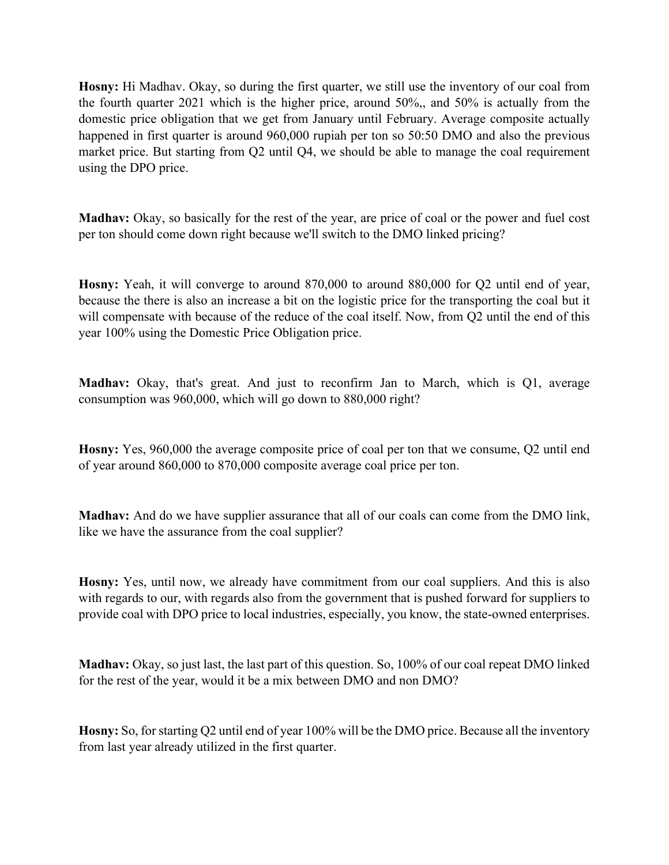**Hosny:** Hi Madhav. Okay, so during the first quarter, we still use the inventory of our coal from the fourth quarter 2021 which is the higher price, around 50%,, and 50% is actually from the domestic price obligation that we get from January until February. Average composite actually happened in first quarter is around 960,000 rupiah per ton so 50:50 DMO and also the previous market price. But starting from Q2 until Q4, we should be able to manage the coal requirement using the DPO price.

**Madhav:** Okay, so basically for the rest of the year, are price of coal or the power and fuel cost per ton should come down right because we'll switch to the DMO linked pricing?

**Hosny:** Yeah, it will converge to around 870,000 to around 880,000 for Q2 until end of year, because the there is also an increase a bit on the logistic price for the transporting the coal but it will compensate with because of the reduce of the coal itself. Now, from Q2 until the end of this year 100% using the Domestic Price Obligation price.

**Madhav:** Okay, that's great. And just to reconfirm Jan to March, which is Q1, average consumption was 960,000, which will go down to 880,000 right?

**Hosny:** Yes, 960,000 the average composite price of coal per ton that we consume, Q2 until end of year around 860,000 to 870,000 composite average coal price per ton.

**Madhav:** And do we have supplier assurance that all of our coals can come from the DMO link, like we have the assurance from the coal supplier?

**Hosny:** Yes, until now, we already have commitment from our coal suppliers. And this is also with regards to our, with regards also from the government that is pushed forward for suppliers to provide coal with DPO price to local industries, especially, you know, the state-owned enterprises.

**Madhav:** Okay, so just last, the last part of this question. So, 100% of our coal repeat DMO linked for the rest of the year, would it be a mix between DMO and non DMO?

**Hosny:** So, for starting Q2 until end of year 100% will be the DMO price. Because all the inventory from last year already utilized in the first quarter.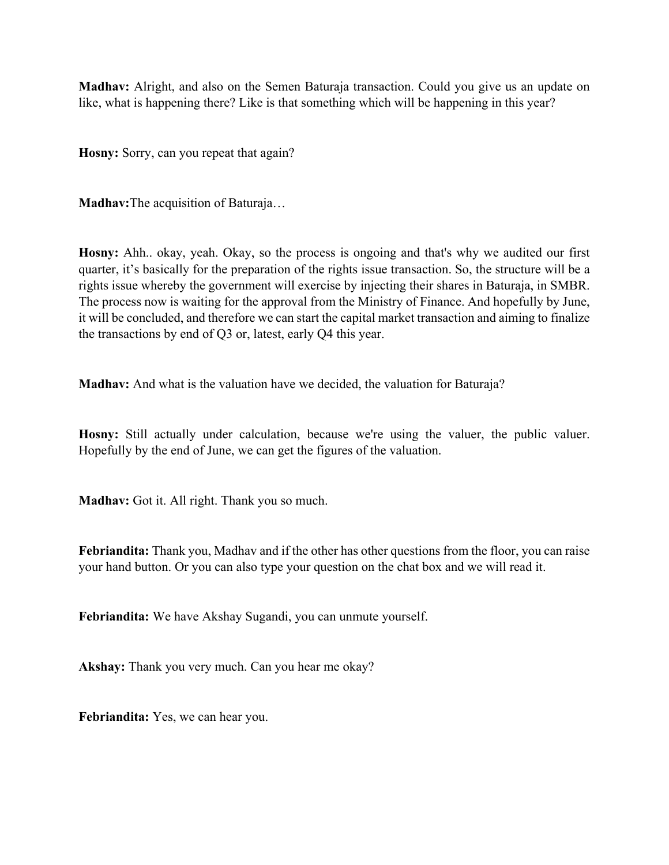**Madhav:** Alright, and also on the Semen Baturaja transaction. Could you give us an update on like, what is happening there? Like is that something which will be happening in this year?

**Hosny:** Sorry, can you repeat that again?

**Madhav:**The acquisition of Baturaja…

**Hosny:** Ahh.. okay, yeah. Okay, so the process is ongoing and that's why we audited our first quarter, it's basically for the preparation of the rights issue transaction. So, the structure will be a rights issue whereby the government will exercise by injecting their shares in Baturaja, in SMBR. The process now is waiting for the approval from the Ministry of Finance. And hopefully by June, it will be concluded, and therefore we can start the capital market transaction and aiming to finalize the transactions by end of Q3 or, latest, early Q4 this year.

**Madhav:** And what is the valuation have we decided, the valuation for Baturaja?

**Hosny:** Still actually under calculation, because we're using the valuer, the public valuer. Hopefully by the end of June, we can get the figures of the valuation.

**Madhav:** Got it. All right. Thank you so much.

**Febriandita:** Thank you, Madhav and if the other has other questions from the floor, you can raise your hand button. Or you can also type your question on the chat box and we will read it.

**Febriandita:** We have Akshay Sugandi, you can unmute yourself.

**Akshay:** Thank you very much. Can you hear me okay?

**Febriandita:** Yes, we can hear you.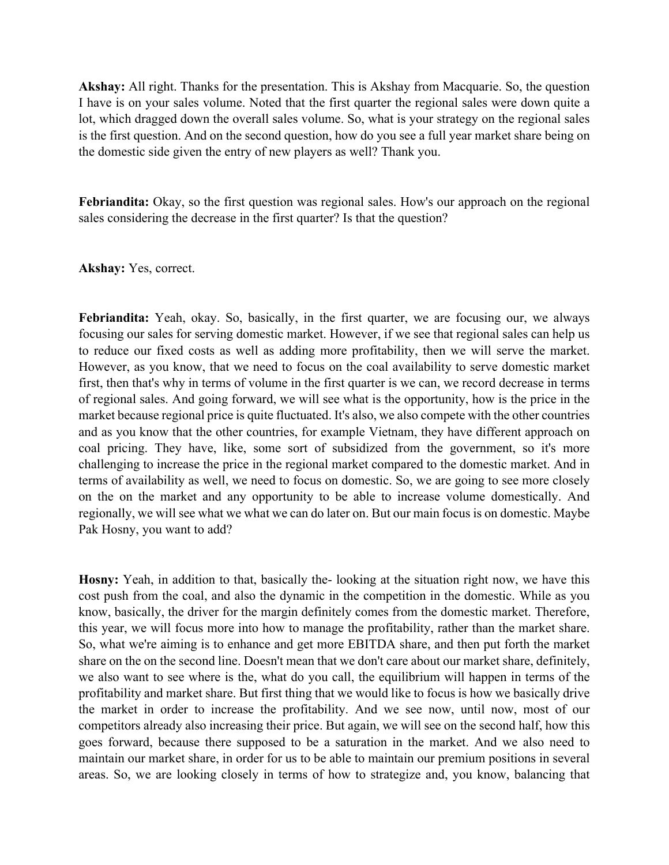**Akshay:** All right. Thanks for the presentation. This is Akshay from Macquarie. So, the question I have is on your sales volume. Noted that the first quarter the regional sales were down quite a lot, which dragged down the overall sales volume. So, what is your strategy on the regional sales is the first question. And on the second question, how do you see a full year market share being on the domestic side given the entry of new players as well? Thank you.

**Febriandita:** Okay, so the first question was regional sales. How's our approach on the regional sales considering the decrease in the first quarter? Is that the question?

**Akshay:** Yes, correct.

**Febriandita:** Yeah, okay. So, basically, in the first quarter, we are focusing our, we always focusing our sales for serving domestic market. However, if we see that regional sales can help us to reduce our fixed costs as well as adding more profitability, then we will serve the market. However, as you know, that we need to focus on the coal availability to serve domestic market first, then that's why in terms of volume in the first quarter is we can, we record decrease in terms of regional sales. And going forward, we will see what is the opportunity, how is the price in the market because regional price is quite fluctuated. It's also, we also compete with the other countries and as you know that the other countries, for example Vietnam, they have different approach on coal pricing. They have, like, some sort of subsidized from the government, so it's more challenging to increase the price in the regional market compared to the domestic market. And in terms of availability as well, we need to focus on domestic. So, we are going to see more closely on the on the market and any opportunity to be able to increase volume domestically. And regionally, we will see what we what we can do later on. But our main focus is on domestic. Maybe Pak Hosny, you want to add?

**Hosny:** Yeah, in addition to that, basically the- looking at the situation right now, we have this cost push from the coal, and also the dynamic in the competition in the domestic. While as you know, basically, the driver for the margin definitely comes from the domestic market. Therefore, this year, we will focus more into how to manage the profitability, rather than the market share. So, what we're aiming is to enhance and get more EBITDA share, and then put forth the market share on the on the second line. Doesn't mean that we don't care about our market share, definitely, we also want to see where is the, what do you call, the equilibrium will happen in terms of the profitability and market share. But first thing that we would like to focus is how we basically drive the market in order to increase the profitability. And we see now, until now, most of our competitors already also increasing their price. But again, we will see on the second half, how this goes forward, because there supposed to be a saturation in the market. And we also need to maintain our market share, in order for us to be able to maintain our premium positions in several areas. So, we are looking closely in terms of how to strategize and, you know, balancing that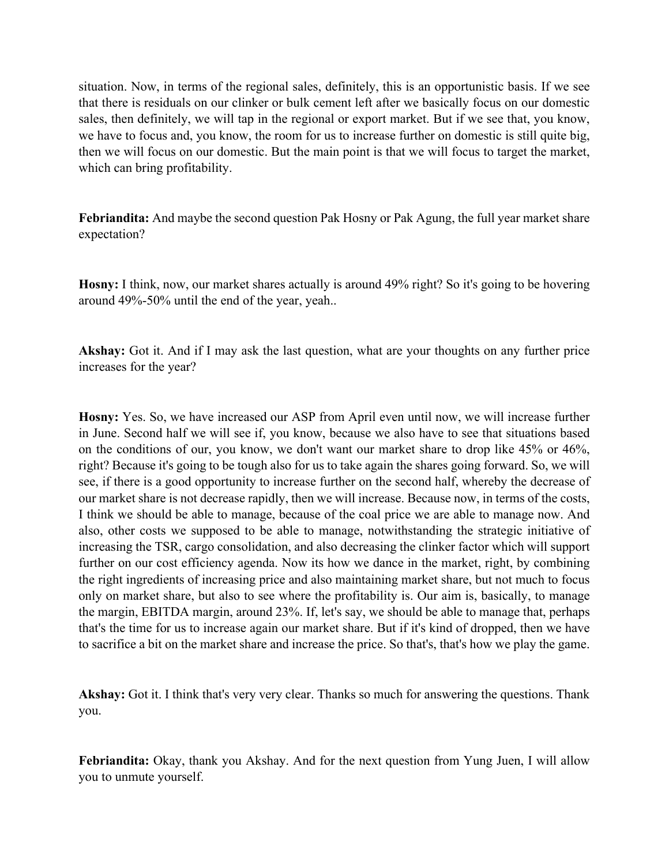situation. Now, in terms of the regional sales, definitely, this is an opportunistic basis. If we see that there is residuals on our clinker or bulk cement left after we basically focus on our domestic sales, then definitely, we will tap in the regional or export market. But if we see that, you know, we have to focus and, you know, the room for us to increase further on domestic is still quite big, then we will focus on our domestic. But the main point is that we will focus to target the market, which can bring profitability.

**Febriandita:** And maybe the second question Pak Hosny or Pak Agung, the full year market share expectation?

**Hosny:** I think, now, our market shares actually is around 49% right? So it's going to be hovering around 49%-50% until the end of the year, yeah..

**Akshay:** Got it. And if I may ask the last question, what are your thoughts on any further price increases for the year?

**Hosny:** Yes. So, we have increased our ASP from April even until now, we will increase further in June. Second half we will see if, you know, because we also have to see that situations based on the conditions of our, you know, we don't want our market share to drop like 45% or 46%, right? Because it's going to be tough also for us to take again the shares going forward. So, we will see, if there is a good opportunity to increase further on the second half, whereby the decrease of our market share is not decrease rapidly, then we will increase. Because now, in terms of the costs, I think we should be able to manage, because of the coal price we are able to manage now. And also, other costs we supposed to be able to manage, notwithstanding the strategic initiative of increasing the TSR, cargo consolidation, and also decreasing the clinker factor which will support further on our cost efficiency agenda. Now its how we dance in the market, right, by combining the right ingredients of increasing price and also maintaining market share, but not much to focus only on market share, but also to see where the profitability is. Our aim is, basically, to manage the margin, EBITDA margin, around 23%. If, let's say, we should be able to manage that, perhaps that's the time for us to increase again our market share. But if it's kind of dropped, then we have to sacrifice a bit on the market share and increase the price. So that's, that's how we play the game.

**Akshay:** Got it. I think that's very very clear. Thanks so much for answering the questions. Thank you.

**Febriandita:** Okay, thank you Akshay. And for the next question from Yung Juen, I will allow you to unmute yourself.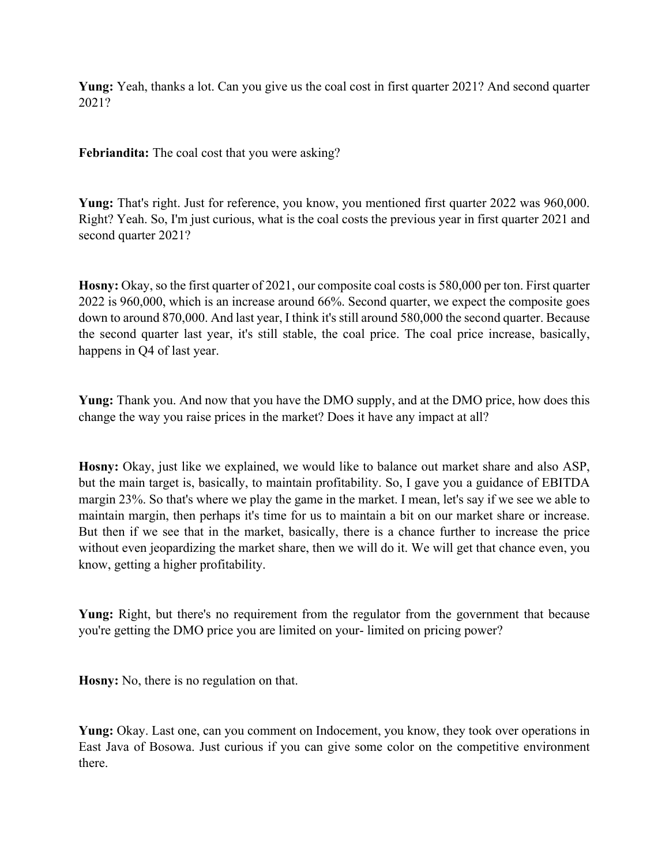**Yung:** Yeah, thanks a lot. Can you give us the coal cost in first quarter 2021? And second quarter 2021?

**Febriandita:** The coal cost that you were asking?

**Yung:** That's right. Just for reference, you know, you mentioned first quarter 2022 was 960,000. Right? Yeah. So, I'm just curious, what is the coal costs the previous year in first quarter 2021 and second quarter 2021?

**Hosny:** Okay, so the first quarter of 2021, our composite coal costs is 580,000 per ton. First quarter 2022 is 960,000, which is an increase around 66%. Second quarter, we expect the composite goes down to around 870,000. And last year, I think it's still around 580,000 the second quarter. Because the second quarter last year, it's still stable, the coal price. The coal price increase, basically, happens in Q4 of last year.

**Yung:** Thank you. And now that you have the DMO supply, and at the DMO price, how does this change the way you raise prices in the market? Does it have any impact at all?

**Hosny:** Okay, just like we explained, we would like to balance out market share and also ASP, but the main target is, basically, to maintain profitability. So, I gave you a guidance of EBITDA margin 23%. So that's where we play the game in the market. I mean, let's say if we see we able to maintain margin, then perhaps it's time for us to maintain a bit on our market share or increase. But then if we see that in the market, basically, there is a chance further to increase the price without even jeopardizing the market share, then we will do it. We will get that chance even, you know, getting a higher profitability.

**Yung:** Right, but there's no requirement from the regulator from the government that because you're getting the DMO price you are limited on your- limited on pricing power?

**Hosny:** No, there is no regulation on that.

**Yung:** Okay. Last one, can you comment on Indocement, you know, they took over operations in East Java of Bosowa. Just curious if you can give some color on the competitive environment there.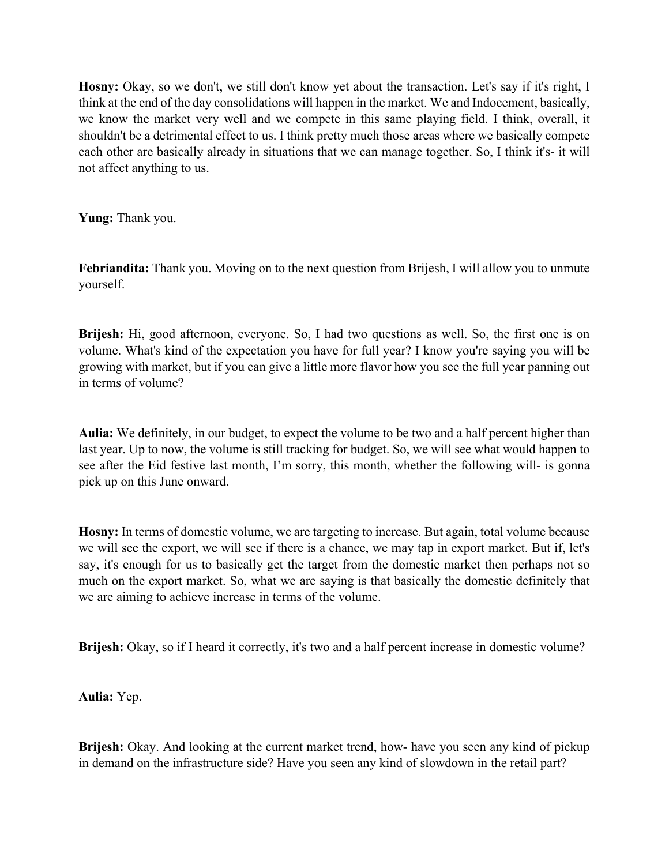**Hosny:** Okay, so we don't, we still don't know yet about the transaction. Let's say if it's right, I think at the end of the day consolidations will happen in the market. We and Indocement, basically, we know the market very well and we compete in this same playing field. I think, overall, it shouldn't be a detrimental effect to us. I think pretty much those areas where we basically compete each other are basically already in situations that we can manage together. So, I think it's- it will not affect anything to us.

**Yung:** Thank you.

**Febriandita:** Thank you. Moving on to the next question from Brijesh, I will allow you to unmute yourself.

**Brijesh:** Hi, good afternoon, everyone. So, I had two questions as well. So, the first one is on volume. What's kind of the expectation you have for full year? I know you're saying you will be growing with market, but if you can give a little more flavor how you see the full year panning out in terms of volume?

**Aulia:** We definitely, in our budget, to expect the volume to be two and a half percent higher than last year. Up to now, the volume is still tracking for budget. So, we will see what would happen to see after the Eid festive last month, I'm sorry, this month, whether the following will- is gonna pick up on this June onward.

**Hosny:** In terms of domestic volume, we are targeting to increase. But again, total volume because we will see the export, we will see if there is a chance, we may tap in export market. But if, let's say, it's enough for us to basically get the target from the domestic market then perhaps not so much on the export market. So, what we are saying is that basically the domestic definitely that we are aiming to achieve increase in terms of the volume.

**Brijesh:** Okay, so if I heard it correctly, it's two and a half percent increase in domestic volume?

**Aulia:** Yep.

**Brijesh:** Okay. And looking at the current market trend, how- have you seen any kind of pickup in demand on the infrastructure side? Have you seen any kind of slowdown in the retail part?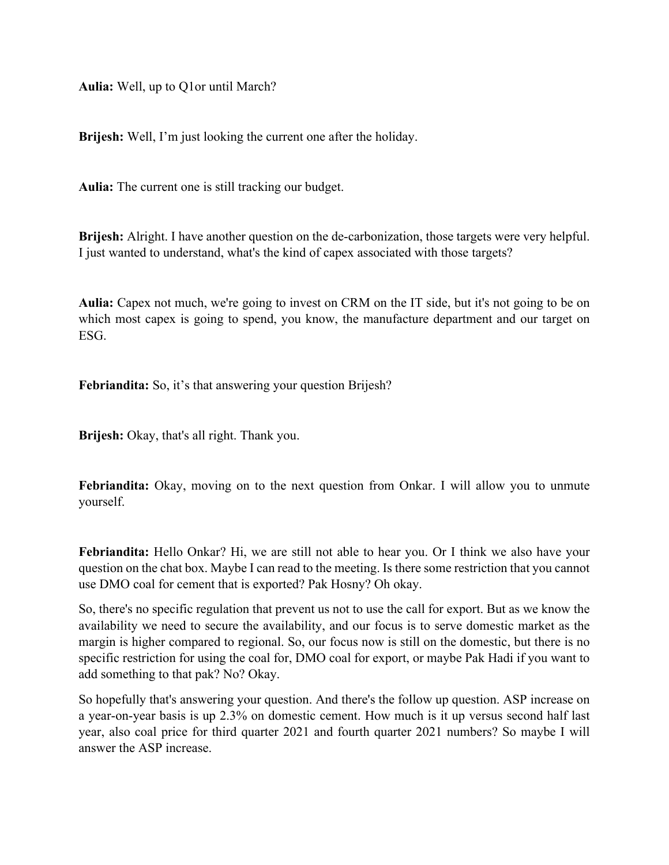**Aulia:** Well, up to Q1or until March?

**Brijesh:** Well, I'm just looking the current one after the holiday.

**Aulia:** The current one is still tracking our budget.

**Brijesh:** Alright. I have another question on the de-carbonization, those targets were very helpful. I just wanted to understand, what's the kind of capex associated with those targets?

**Aulia:** Capex not much, we're going to invest on CRM on the IT side, but it's not going to be on which most capex is going to spend, you know, the manufacture department and our target on ESG.

**Febriandita:** So, it's that answering your question Brijesh?

**Brijesh:** Okay, that's all right. Thank you.

**Febriandita:** Okay, moving on to the next question from Onkar. I will allow you to unmute yourself.

**Febriandita:** Hello Onkar? Hi, we are still not able to hear you. Or I think we also have your question on the chat box. Maybe I can read to the meeting. Is there some restriction that you cannot use DMO coal for cement that is exported? Pak Hosny? Oh okay.

So, there's no specific regulation that prevent us not to use the call for export. But as we know the availability we need to secure the availability, and our focus is to serve domestic market as the margin is higher compared to regional. So, our focus now is still on the domestic, but there is no specific restriction for using the coal for, DMO coal for export, or maybe Pak Hadi if you want to add something to that pak? No? Okay.

So hopefully that's answering your question. And there's the follow up question. ASP increase on a year-on-year basis is up 2.3% on domestic cement. How much is it up versus second half last year, also coal price for third quarter 2021 and fourth quarter 2021 numbers? So maybe I will answer the ASP increase.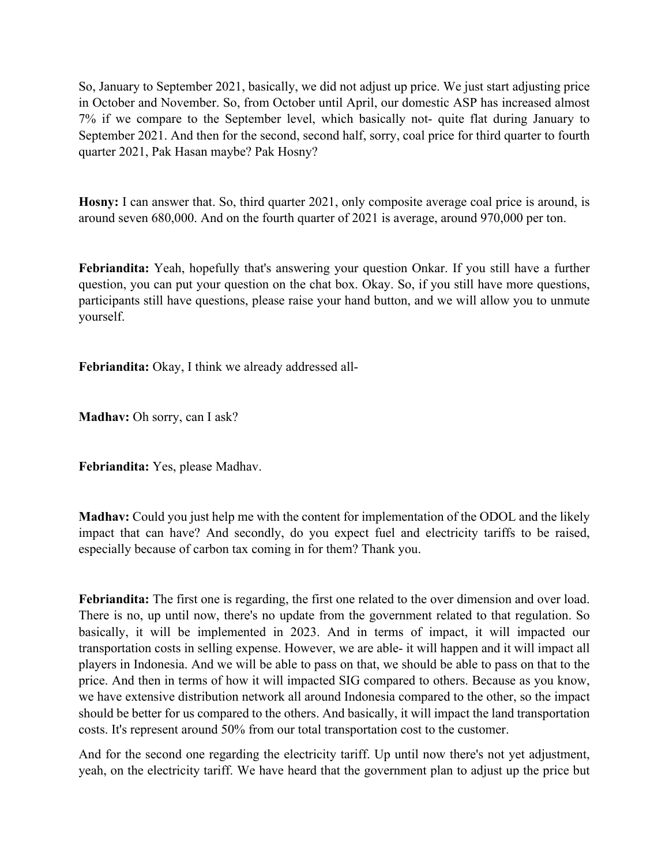So, January to September 2021, basically, we did not adjust up price. We just start adjusting price in October and November. So, from October until April, our domestic ASP has increased almost 7% if we compare to the September level, which basically not- quite flat during January to September 2021. And then for the second, second half, sorry, coal price for third quarter to fourth quarter 2021, Pak Hasan maybe? Pak Hosny?

**Hosny:** I can answer that. So, third quarter 2021, only composite average coal price is around, is around seven 680,000. And on the fourth quarter of 2021 is average, around 970,000 per ton.

**Febriandita:** Yeah, hopefully that's answering your question Onkar. If you still have a further question, you can put your question on the chat box. Okay. So, if you still have more questions, participants still have questions, please raise your hand button, and we will allow you to unmute yourself.

**Febriandita:** Okay, I think we already addressed all-

**Madhav:** Oh sorry, can I ask?

**Febriandita:** Yes, please Madhav.

**Madhav:** Could you just help me with the content for implementation of the ODOL and the likely impact that can have? And secondly, do you expect fuel and electricity tariffs to be raised, especially because of carbon tax coming in for them? Thank you.

**Febriandita:** The first one is regarding, the first one related to the over dimension and over load. There is no, up until now, there's no update from the government related to that regulation. So basically, it will be implemented in 2023. And in terms of impact, it will impacted our transportation costs in selling expense. However, we are able- it will happen and it will impact all players in Indonesia. And we will be able to pass on that, we should be able to pass on that to the price. And then in terms of how it will impacted SIG compared to others. Because as you know, we have extensive distribution network all around Indonesia compared to the other, so the impact should be better for us compared to the others. And basically, it will impact the land transportation costs. It's represent around 50% from our total transportation cost to the customer.

And for the second one regarding the electricity tariff. Up until now there's not yet adjustment, yeah, on the electricity tariff. We have heard that the government plan to adjust up the price but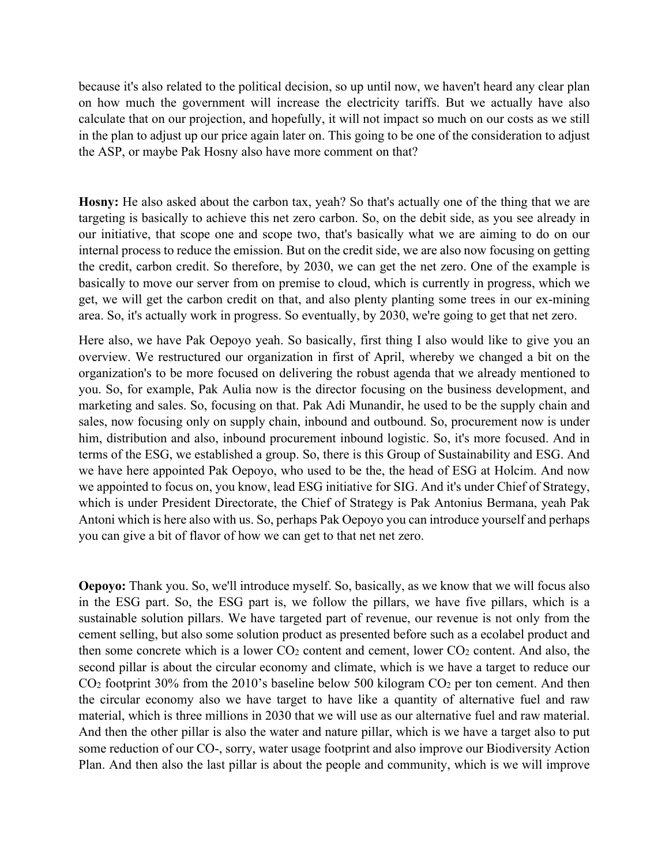because it's also related to the political decision, so up until now, we haven't heard any clear plan on how much the government will increase the electricity tariffs. But we actually have also calculate that on our projection, and hopefully, it will not impact so much on our costs as we still in the plan to adjust up our price again later on. This going to be one of the consideration to adjust the ASP, or maybe Pak Hosny also have more comment on that?

**Hosny:** He also asked about the carbon tax, yeah? So that's actually one of the thing that we are targeting is basically to achieve this net zero carbon. So, on the debit side, as you see already in our initiative, that scope one and scope two, that's basically what we are aiming to do on our internal process to reduce the emission. But on the credit side, we are also now focusing on getting the credit, carbon credit. So therefore, by 2030, we can get the net zero. One of the example is basically to move our server from on premise to cloud, which is currently in progress, which we get, we will get the carbon credit on that, and also plenty planting some trees in our ex-mining area. So, it's actually work in progress. So eventually, by 2030, we're going to get that net zero.

Here also, we have Pak Oepoyo yeah. So basically, first thing I also would like to give you an overview. We restructured our organization in first of April, whereby we changed a bit on the organization's to be more focused on delivering the robust agenda that we already mentioned to you. So, for example, Pak Aulia now is the director focusing on the business development, and marketing and sales. So, focusing on that. Pak Adi Munandir, he used to be the supply chain and sales, now focusing only on supply chain, inbound and outbound. So, procurement now is under him, distribution and also, inbound procurement inbound logistic. So, it's more focused. And in terms of the ESG, we established a group. So, there is this Group of Sustainability and ESG. And we have here appointed Pak Oepoyo, who used to be the, the head of ESG at Holcim. And now we appointed to focus on, you know, lead ESG initiative for SIG. And it's under Chief of Strategy, which is under President Directorate, the Chief of Strategy is Pak Antonius Bermana, yeah Pak Antoni which is here also with us. So, perhaps Pak Oepoyo you can introduce yourself and perhaps you can give a bit of flavor of how we can get to that net net zero.

**Oepoyo:** Thank you. So, we'll introduce myself. So, basically, as we know that we will focus also in the ESG part. So, the ESG part is, we follow the pillars, we have five pillars, which is a sustainable solution pillars. We have targeted part of revenue, our revenue is not only from the cement selling, but also some solution product as presented before such as a ecolabel product and then some concrete which is a lower  $CO<sub>2</sub>$  content and cement, lower  $CO<sub>2</sub>$  content. And also, the second pillar is about the circular economy and climate, which is we have a target to reduce our CO<sub>2</sub> footprint 30% from the 2010's baseline below 500 kilogram CO<sub>2</sub> per ton cement. And then the circular economy also we have target to have like a quantity of alternative fuel and raw material, which is three millions in 2030 that we will use as our alternative fuel and raw material. And then the other pillar is also the water and nature pillar, which is we have a target also to put some reduction of our CO-, sorry, water usage footprint and also improve our Biodiversity Action Plan. And then also the last pillar is about the people and community, which is we will improve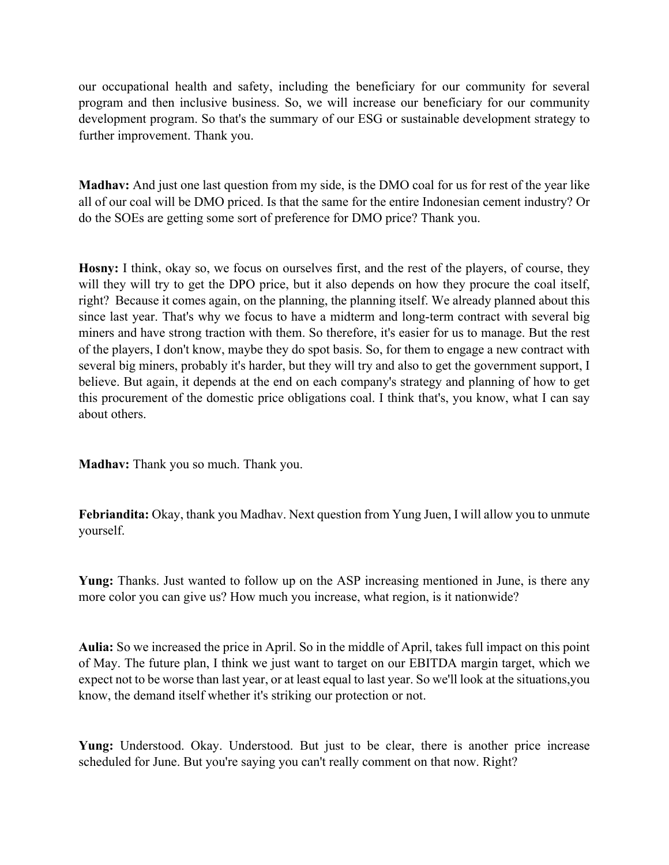our occupational health and safety, including the beneficiary for our community for several program and then inclusive business. So, we will increase our beneficiary for our community development program. So that's the summary of our ESG or sustainable development strategy to further improvement. Thank you.

**Madhav:** And just one last question from my side, is the DMO coal for us for rest of the year like all of our coal will be DMO priced. Is that the same for the entire Indonesian cement industry? Or do the SOEs are getting some sort of preference for DMO price? Thank you.

**Hosny:** I think, okay so, we focus on ourselves first, and the rest of the players, of course, they will they will try to get the DPO price, but it also depends on how they procure the coal itself, right? Because it comes again, on the planning, the planning itself. We already planned about this since last year. That's why we focus to have a midterm and long-term contract with several big miners and have strong traction with them. So therefore, it's easier for us to manage. But the rest of the players, I don't know, maybe they do spot basis. So, for them to engage a new contract with several big miners, probably it's harder, but they will try and also to get the government support, I believe. But again, it depends at the end on each company's strategy and planning of how to get this procurement of the domestic price obligations coal. I think that's, you know, what I can say about others.

**Madhav:** Thank you so much. Thank you.

**Febriandita:** Okay, thank you Madhav. Next question from Yung Juen, I will allow you to unmute yourself.

**Yung:** Thanks. Just wanted to follow up on the ASP increasing mentioned in June, is there any more color you can give us? How much you increase, what region, is it nationwide?

**Aulia:** So we increased the price in April. So in the middle of April, takes full impact on this point of May. The future plan, I think we just want to target on our EBITDA margin target, which we expect not to be worse than last year, or at least equal to last year. So we'll look at the situations,you know, the demand itself whether it's striking our protection or not.

**Yung:** Understood. Okay. Understood. But just to be clear, there is another price increase scheduled for June. But you're saying you can't really comment on that now. Right?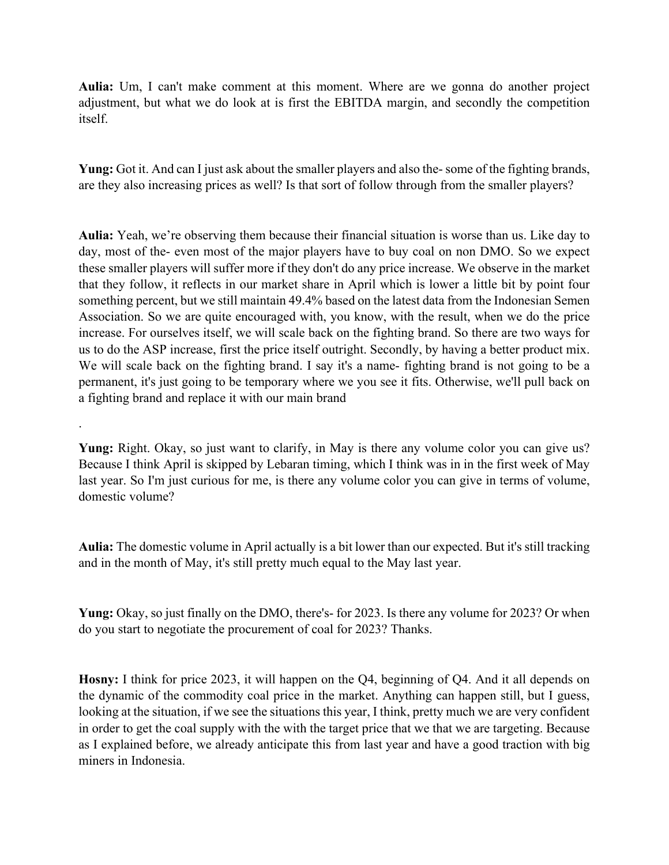**Aulia:** Um, I can't make comment at this moment. Where are we gonna do another project adjustment, but what we do look at is first the EBITDA margin, and secondly the competition itself.

**Yung:** Got it. And can I just ask about the smaller players and also the-some of the fighting brands, are they also increasing prices as well? Is that sort of follow through from the smaller players?

**Aulia:** Yeah, we're observing them because their financial situation is worse than us. Like day to day, most of the- even most of the major players have to buy coal on non DMO. So we expect these smaller players will suffer more if they don't do any price increase. We observe in the market that they follow, it reflects in our market share in April which is lower a little bit by point four something percent, but we still maintain 49.4% based on the latest data from the Indonesian Semen Association. So we are quite encouraged with, you know, with the result, when we do the price increase. For ourselves itself, we will scale back on the fighting brand. So there are two ways for us to do the ASP increase, first the price itself outright. Secondly, by having a better product mix. We will scale back on the fighting brand. I say it's a name- fighting brand is not going to be a permanent, it's just going to be temporary where we you see it fits. Otherwise, we'll pull back on a fighting brand and replace it with our main brand

**Yung:** Right. Okay, so just want to clarify, in May is there any volume color you can give us? Because I think April is skipped by Lebaran timing, which I think was in in the first week of May last year. So I'm just curious for me, is there any volume color you can give in terms of volume, domestic volume?

.

**Aulia:** The domestic volume in April actually is a bit lower than our expected. But it's still tracking and in the month of May, it's still pretty much equal to the May last year.

**Yung:** Okay, so just finally on the DMO, there's- for 2023. Is there any volume for 2023? Or when do you start to negotiate the procurement of coal for 2023? Thanks.

**Hosny:** I think for price 2023, it will happen on the Q4, beginning of Q4. And it all depends on the dynamic of the commodity coal price in the market. Anything can happen still, but I guess, looking at the situation, if we see the situations this year, I think, pretty much we are very confident in order to get the coal supply with the with the target price that we that we are targeting. Because as I explained before, we already anticipate this from last year and have a good traction with big miners in Indonesia.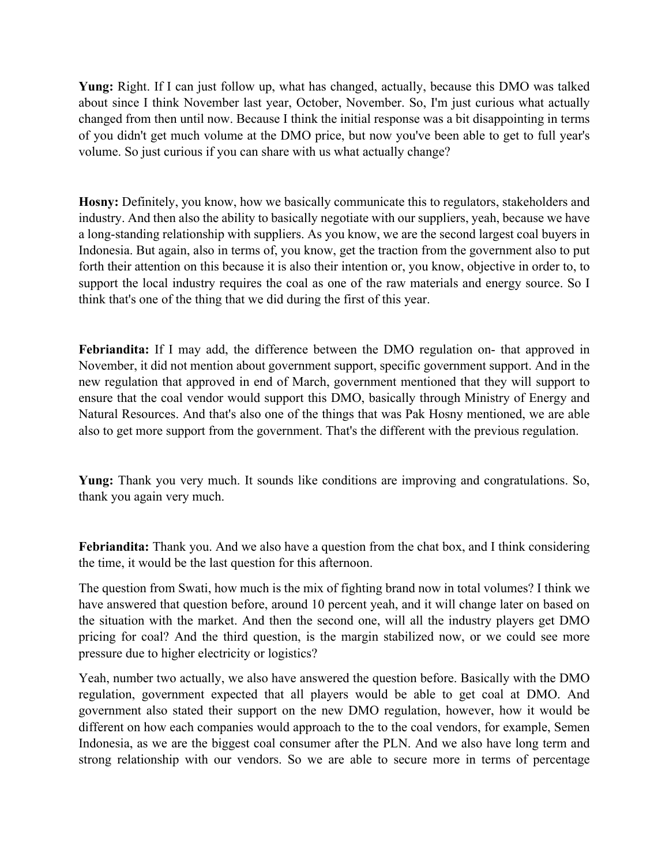**Yung:** Right. If I can just follow up, what has changed, actually, because this DMO was talked about since I think November last year, October, November. So, I'm just curious what actually changed from then until now. Because I think the initial response was a bit disappointing in terms of you didn't get much volume at the DMO price, but now you've been able to get to full year's volume. So just curious if you can share with us what actually change?

**Hosny:** Definitely, you know, how we basically communicate this to regulators, stakeholders and industry. And then also the ability to basically negotiate with our suppliers, yeah, because we have a long-standing relationship with suppliers. As you know, we are the second largest coal buyers in Indonesia. But again, also in terms of, you know, get the traction from the government also to put forth their attention on this because it is also their intention or, you know, objective in order to, to support the local industry requires the coal as one of the raw materials and energy source. So I think that's one of the thing that we did during the first of this year.

**Febriandita:** If I may add, the difference between the DMO regulation on- that approved in November, it did not mention about government support, specific government support. And in the new regulation that approved in end of March, government mentioned that they will support to ensure that the coal vendor would support this DMO, basically through Ministry of Energy and Natural Resources. And that's also one of the things that was Pak Hosny mentioned, we are able also to get more support from the government. That's the different with the previous regulation.

**Yung:** Thank you very much. It sounds like conditions are improving and congratulations. So, thank you again very much.

**Febriandita:** Thank you. And we also have a question from the chat box, and I think considering the time, it would be the last question for this afternoon.

The question from Swati, how much is the mix of fighting brand now in total volumes? I think we have answered that question before, around 10 percent yeah, and it will change later on based on the situation with the market. And then the second one, will all the industry players get DMO pricing for coal? And the third question, is the margin stabilized now, or we could see more pressure due to higher electricity or logistics?

Yeah, number two actually, we also have answered the question before. Basically with the DMO regulation, government expected that all players would be able to get coal at DMO. And government also stated their support on the new DMO regulation, however, how it would be different on how each companies would approach to the to the coal vendors, for example, Semen Indonesia, as we are the biggest coal consumer after the PLN. And we also have long term and strong relationship with our vendors. So we are able to secure more in terms of percentage